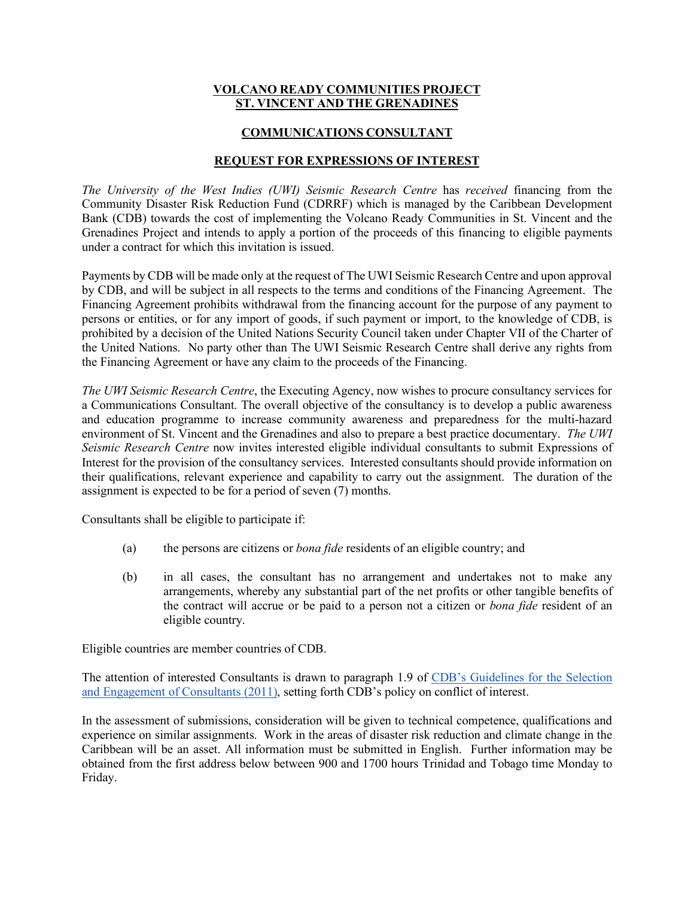## **VOLCANO READY COMMUNITIES PROJECT ST. VINCENT AND THE GRENADINES**

# **COMMUNICATIONS CONSULTANT**

## **REQUEST FOR EXPRESSIONS OF INTEREST**

*The University of the West Indies (UWI) Seismic Research Centre* has *received* financing from the Community Disaster Risk Reduction Fund (CDRRF) which is managed by the Caribbean Development Bank (CDB) towards the cost of implementing the Volcano Ready Communities in St. Vincent and the Grenadines Project and intends to apply a portion of the proceeds of this financing to eligible payments under a contract for which this invitation is issued.

Payments by CDB will be made only at the request of The UWI Seismic Research Centre and upon approval by CDB, and will be subject in all respects to the terms and conditions of the Financing Agreement. The Financing Agreement prohibits withdrawal from the financing account for the purpose of any payment to persons or entities, or for any import of goods, if such payment or import, to the knowledge of CDB, is prohibited by a decision of the United Nations Security Council taken under Chapter VII of the Charter of the United Nations. No party other than The UWI Seismic Research Centre shall derive any rights from the Financing Agreement or have any claim to the proceeds of the Financing.

*The UWI Seismic Research Centre*, the Executing Agency, now wishes to procure consultancy services for a Communications Consultant. The overall objective of the consultancy is to develop a public awareness and education programme to increase community awareness and preparedness for the multi-hazard environment of St. Vincent and the Grenadines and also to prepare a best practice documentary. *The UWI Seismic Research Centre* now invites interested eligible individual consultants to submit Expressions of Interest for the provision of the consultancy services. Interested consultants should provide information on their qualifications, relevant experience and capability to carry out the assignment. The duration of the assignment is expected to be for a period of seven (7) months.

Consultants shall be eligible to participate if:

- (a) the persons are citizens or *bona fide* residents of an eligible country; and
- (b) in all cases, the consultant has no arrangement and undertakes not to make any arrangements, whereby any substantial part of the net profits or other tangible benefits of the contract will accrue or be paid to a person not a citizen or *bona fide* resident of an eligible country.

Eligible countries are member countries of CDB.

The attention of interested Consultants is drawn to paragraph 1.9 of CDB's Guidelines for the Selection and Engagement of Consultants (2011), setting forth CDB's policy on conflict of interest.

In the assessment of submissions, consideration will be given to technical competence, qualifications and experience on similar assignments. Work in the areas of disaster risk reduction and climate change in the Caribbean will be an asset. All information must be submitted in English. Further information may be obtained from the first address below between 900 and 1700 hours Trinidad and Tobago time Monday to Friday.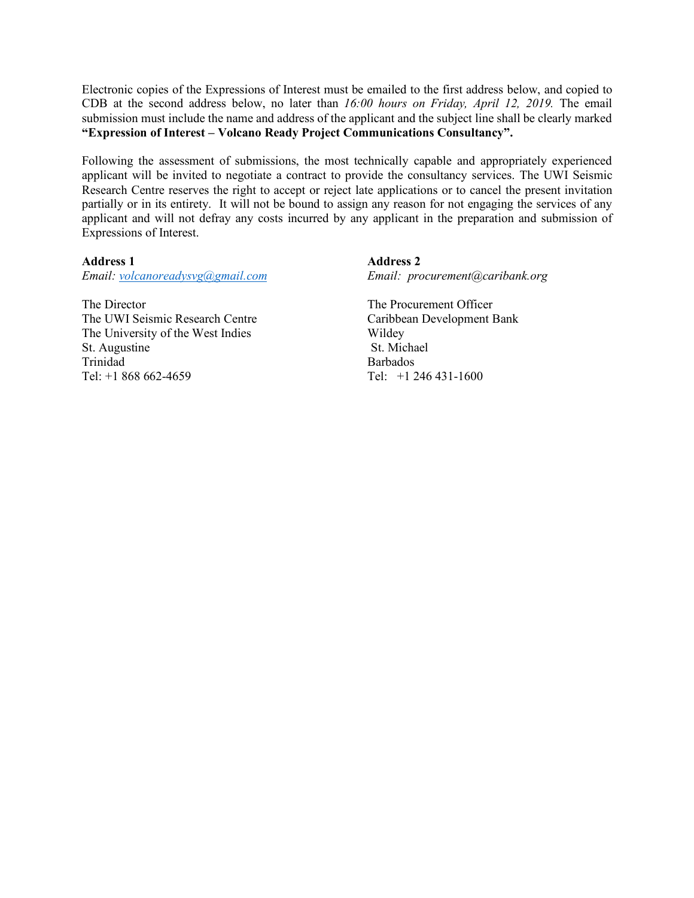Electronic copies of the Expressions of Interest must be emailed to the first address below, and copied to CDB at the second address below, no later than *16:00 hours on Friday, April 12, 2019.* The email submission must include the name and address of the applicant and the subject line shall be clearly marked **"Expression of Interest – Volcano Ready Project Communications Consultancy".**

Following the assessment of submissions, the most technically capable and appropriately experienced applicant will be invited to negotiate a contract to provide the consultancy services. The UWI Seismic Research Centre reserves the right to accept or reject late applications or to cancel the present invitation partially or in its entirety. It will not be bound to assign any reason for not engaging the services of any applicant and will not defray any costs incurred by any applicant in the preparation and submission of Expressions of Interest.

#### **Address 1 Address 2**

*Email: volcanoreadysvg@gmail.com Email: procurement@caribank.org*

The Director The Procurement Officer The UWI Seismic Research Centre Caribbean Development Bank The University of the West Indies Wildey St. Augustine St. Michael Trinidad Barbados Tel: +1 868 662-4659 Tel: +1 246 431-1600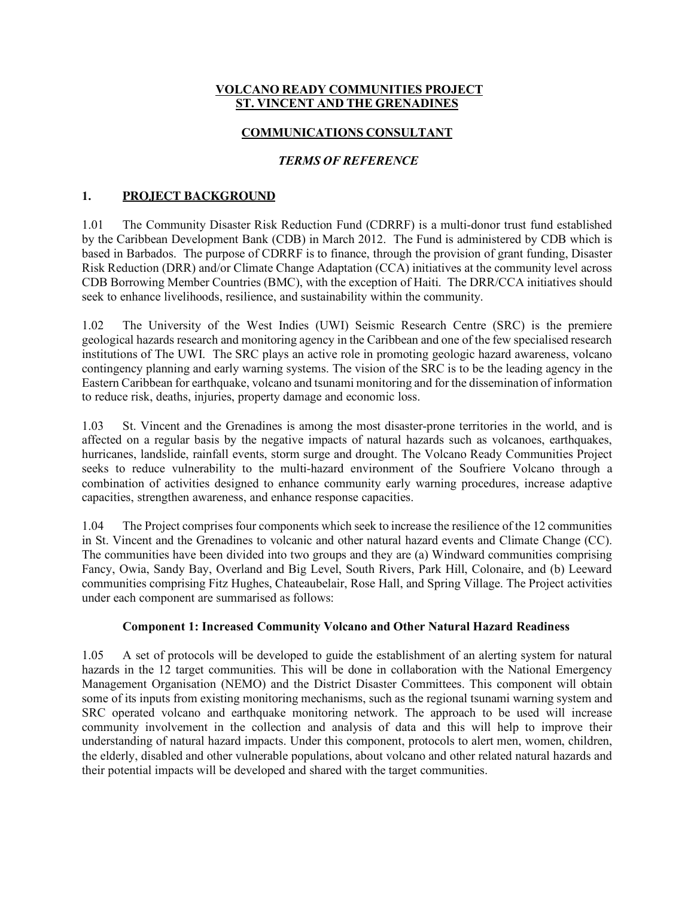# **VOLCANO READY COMMUNITIES PROJECT ST. VINCENT AND THE GRENADINES**

# **COMMUNICATIONS CONSULTANT**

# *TERMS OF REFERENCE*

# **1. PROJECT BACKGROUND**

1.01 The Community Disaster Risk Reduction Fund (CDRRF) is a multi-donor trust fund established by the Caribbean Development Bank (CDB) in March 2012. The Fund is administered by CDB which is based in Barbados. The purpose of CDRRF is to finance, through the provision of grant funding, Disaster Risk Reduction (DRR) and/or Climate Change Adaptation (CCA) initiatives at the community level across CDB Borrowing Member Countries (BMC), with the exception of Haiti. The DRR/CCA initiatives should seek to enhance livelihoods, resilience, and sustainability within the community.

1.02 The University of the West Indies (UWI) Seismic Research Centre (SRC) is the premiere geological hazards research and monitoring agency in the Caribbean and one of the few specialised research institutions of The UWI. The SRC plays an active role in promoting geologic hazard awareness, volcano contingency planning and early warning systems. The vision of the SRC is to be the leading agency in the Eastern Caribbean for earthquake, volcano and tsunami monitoring and for the dissemination of information to reduce risk, deaths, injuries, property damage and economic loss.

1.03 St. Vincent and the Grenadines is among the most disaster-prone territories in the world, and is affected on a regular basis by the negative impacts of natural hazards such as volcanoes, earthquakes, hurricanes, landslide, rainfall events, storm surge and drought. The Volcano Ready Communities Project seeks to reduce vulnerability to the multi-hazard environment of the Soufriere Volcano through a combination of activities designed to enhance community early warning procedures, increase adaptive capacities, strengthen awareness, and enhance response capacities.

1.04 The Project comprises four components which seek to increase the resilience of the 12 communities in St. Vincent and the Grenadines to volcanic and other natural hazard events and Climate Change (CC). The communities have been divided into two groups and they are (a) Windward communities comprising Fancy, Owia, Sandy Bay, Overland and Big Level, South Rivers, Park Hill, Colonaire, and (b) Leeward communities comprising Fitz Hughes, Chateaubelair, Rose Hall, and Spring Village. The Project activities under each component are summarised as follows:

### **Component 1: Increased Community Volcano and Other Natural Hazard Readiness**

1.05 A set of protocols will be developed to guide the establishment of an alerting system for natural hazards in the 12 target communities. This will be done in collaboration with the National Emergency Management Organisation (NEMO) and the District Disaster Committees. This component will obtain some of its inputs from existing monitoring mechanisms, such as the regional tsunami warning system and SRC operated volcano and earthquake monitoring network. The approach to be used will increase community involvement in the collection and analysis of data and this will help to improve their understanding of natural hazard impacts. Under this component, protocols to alert men, women, children, the elderly, disabled and other vulnerable populations, about volcano and other related natural hazards and their potential impacts will be developed and shared with the target communities.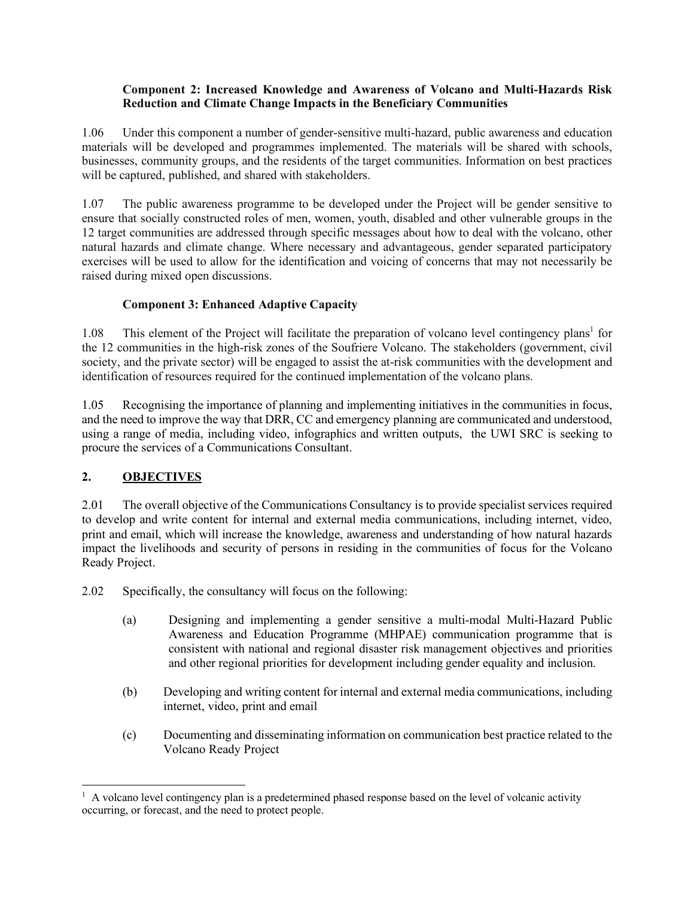## **Component 2: Increased Knowledge and Awareness of Volcano and Multi-Hazards Risk Reduction and Climate Change Impacts in the Beneficiary Communities**

1.06 Under this component a number of gender-sensitive multi-hazard, public awareness and education materials will be developed and programmes implemented. The materials will be shared with schools, businesses, community groups, and the residents of the target communities. Information on best practices will be captured, published, and shared with stakeholders.

1.07 The public awareness programme to be developed under the Project will be gender sensitive to ensure that socially constructed roles of men, women, youth, disabled and other vulnerable groups in the 12 target communities are addressed through specific messages about how to deal with the volcano, other natural hazards and climate change. Where necessary and advantageous, gender separated participatory exercises will be used to allow for the identification and voicing of concerns that may not necessarily be raised during mixed open discussions.

# **Component 3: Enhanced Adaptive Capacity**

1.08 This element of the Project will facilitate the preparation of volcano level contingency plans<sup>1</sup> for the 12 communities in the high-risk zones of the Soufriere Volcano. The stakeholders (government, civil society, and the private sector) will be engaged to assist the at-risk communities with the development and identification of resources required for the continued implementation of the volcano plans.

1.05 Recognising the importance of planning and implementing initiatives in the communities in focus, and the need to improve the way that DRR, CC and emergency planning are communicated and understood, using a range of media, including video, infographics and written outputs, the UWI SRC is seeking to procure the services of a Communications Consultant.

# **2. OBJECTIVES**

2.01 The overall objective of the Communications Consultancy is to provide specialist services required to develop and write content for internal and external media communications, including internet, video, print and email, which will increase the knowledge, awareness and understanding of how natural hazards impact the livelihoods and security of persons in residing in the communities of focus for the Volcano Ready Project.

2.02 Specifically, the consultancy will focus on the following:

- (a) Designing and implementing a gender sensitive a multi-modal Multi-Hazard Public Awareness and Education Programme (MHPAE) communication programme that is consistent with national and regional disaster risk management objectives and priorities and other regional priorities for development including gender equality and inclusion.
- (b) Developing and writing content for internal and external media communications, including internet, video, print and email
- (c) Documenting and disseminating information on communication best practice related to the Volcano Ready Project

<sup>|&</sup>lt;br>|<br>|  $\frac{1}{1}$  A volcano level contingency plan is a predetermined phased response based on the level of volcanic activity occurring, or forecast, and the need to protect people.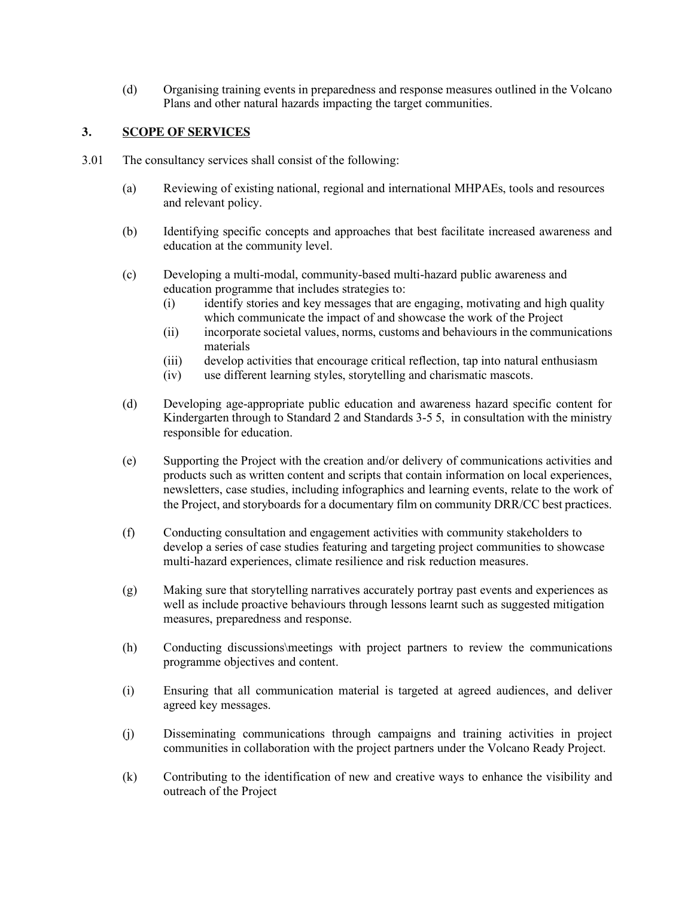(d) Organising training events in preparedness and response measures outlined in the Volcano Plans and other natural hazards impacting the target communities.

## **3. SCOPE OF SERVICES**

- 3.01 The consultancy services shall consist of the following:
	- (a) Reviewing of existing national, regional and international MHPAEs, tools and resources and relevant policy.
	- (b) Identifying specific concepts and approaches that best facilitate increased awareness and education at the community level.
	- (c) Developing a multi-modal, community-based multi-hazard public awareness and education programme that includes strategies to:
		- (i) identify stories and key messages that are engaging, motivating and high quality which communicate the impact of and showcase the work of the Project
		- (ii) incorporate societal values, norms, customs and behaviours in the communications materials
		- (iii) develop activities that encourage critical reflection, tap into natural enthusiasm
		- (iv) use different learning styles, storytelling and charismatic mascots.
	- (d) Developing age-appropriate public education and awareness hazard specific content for Kindergarten through to Standard 2 and Standards 3-5 5, in consultation with the ministry responsible for education.
	- (e) Supporting the Project with the creation and/or delivery of communications activities and products such as written content and scripts that contain information on local experiences, newsletters, case studies, including infographics and learning events, relate to the work of the Project, and storyboards for a documentary film on community DRR/CC best practices.
	- (f) Conducting consultation and engagement activities with community stakeholders to develop a series of case studies featuring and targeting project communities to showcase multi-hazard experiences, climate resilience and risk reduction measures.
	- (g) Making sure that storytelling narratives accurately portray past events and experiences as well as include proactive behaviours through lessons learnt such as suggested mitigation measures, preparedness and response.
	- (h) Conducting discussions\meetings with project partners to review the communications programme objectives and content.
	- (i) Ensuring that all communication material is targeted at agreed audiences, and deliver agreed key messages.
	- (j) Disseminating communications through campaigns and training activities in project communities in collaboration with the project partners under the Volcano Ready Project.
	- (k) Contributing to the identification of new and creative ways to enhance the visibility and outreach of the Project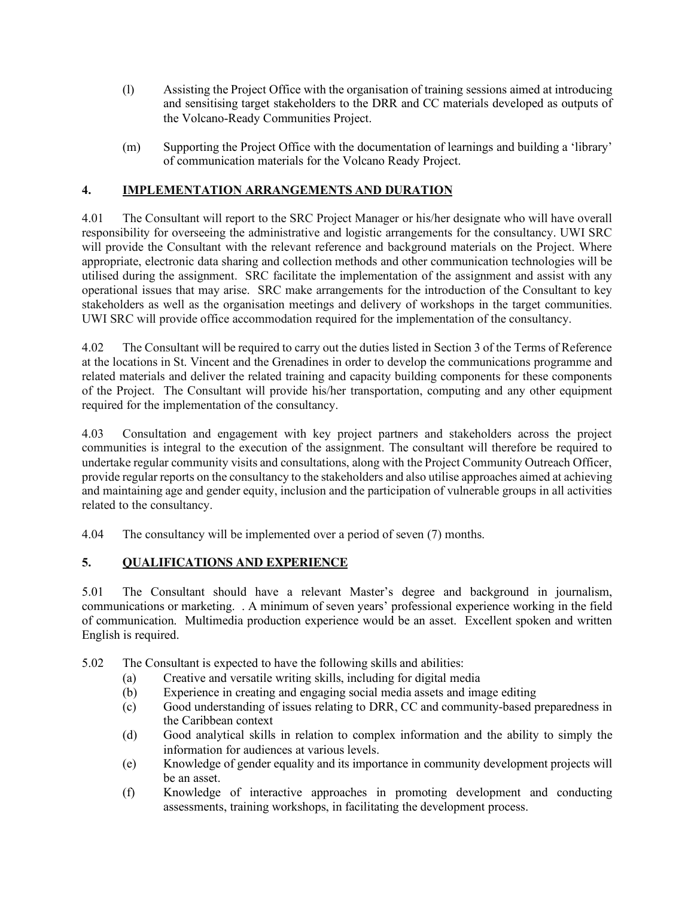- (l) Assisting the Project Office with the organisation of training sessions aimed at introducing and sensitising target stakeholders to the DRR and CC materials developed as outputs of the Volcano-Ready Communities Project.
- (m) Supporting the Project Office with the documentation of learnings and building a 'library' of communication materials for the Volcano Ready Project.

# **4. IMPLEMENTATION ARRANGEMENTS AND DURATION**

4.01 The Consultant will report to the SRC Project Manager or his/her designate who will have overall responsibility for overseeing the administrative and logistic arrangements for the consultancy. UWI SRC will provide the Consultant with the relevant reference and background materials on the Project. Where appropriate, electronic data sharing and collection methods and other communication technologies will be utilised during the assignment. SRC facilitate the implementation of the assignment and assist with any operational issues that may arise. SRC make arrangements for the introduction of the Consultant to key stakeholders as well as the organisation meetings and delivery of workshops in the target communities. UWI SRC will provide office accommodation required for the implementation of the consultancy.

4.02 The Consultant will be required to carry out the duties listed in Section 3 of the Terms of Reference at the locations in St. Vincent and the Grenadines in order to develop the communications programme and related materials and deliver the related training and capacity building components for these components of the Project. The Consultant will provide his/her transportation, computing and any other equipment required for the implementation of the consultancy.

4.03 Consultation and engagement with key project partners and stakeholders across the project communities is integral to the execution of the assignment. The consultant will therefore be required to undertake regular community visits and consultations, along with the Project Community Outreach Officer, provide regular reports on the consultancy to the stakeholders and also utilise approaches aimed at achieving and maintaining age and gender equity, inclusion and the participation of vulnerable groups in all activities related to the consultancy.

4.04 The consultancy will be implemented over a period of seven (7) months.

# **5. QUALIFICATIONS AND EXPERIENCE**

5.01 The Consultant should have a relevant Master's degree and background in journalism, communications or marketing. . A minimum of seven years' professional experience working in the field of communication. Multimedia production experience would be an asset. Excellent spoken and written English is required.

- 5.02 The Consultant is expected to have the following skills and abilities:
	- (a) Creative and versatile writing skills, including for digital media
	- (b) Experience in creating and engaging social media assets and image editing
	- (c) Good understanding of issues relating to DRR, CC and community-based preparedness in the Caribbean context
	- (d) Good analytical skills in relation to complex information and the ability to simply the information for audiences at various levels.
	- (e) Knowledge of gender equality and its importance in community development projects will be an asset.
	- (f) Knowledge of interactive approaches in promoting development and conducting assessments, training workshops, in facilitating the development process.